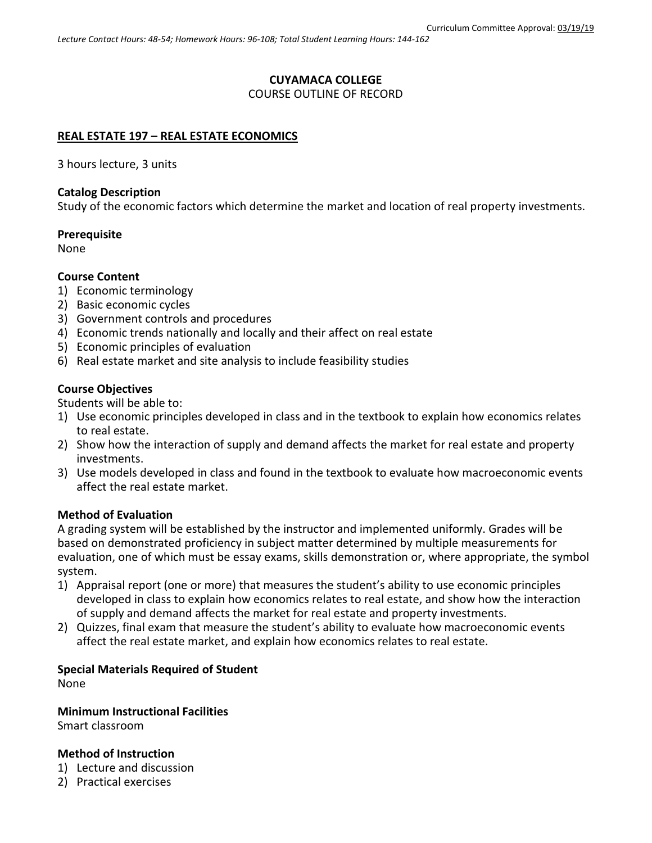# **CUYAMACA COLLEGE**

### COURSE OUTLINE OF RECORD

## **REAL ESTATE 197 – REAL ESTATE ECONOMICS**

3 hours lecture, 3 units

### **Catalog Description**

Study of the economic factors which determine the market and location of real property investments.

# **Prerequisite**

None

## **Course Content**

- 1) Economic terminology
- 2) Basic economic cycles
- 3) Government controls and procedures
- 4) Economic trends nationally and locally and their affect on real estate
- 5) Economic principles of evaluation
- 6) Real estate market and site analysis to include feasibility studies

## **Course Objectives**

Students will be able to:

- 1) Use economic principles developed in class and in the textbook to explain how economics relates to real estate.
- 2) Show how the interaction of supply and demand affects the market for real estate and property investments.
- 3) Use models developed in class and found in the textbook to evaluate how macroeconomic events affect the real estate market.

### **Method of Evaluation**

A grading system will be established by the instructor and implemented uniformly. Grades will be based on demonstrated proficiency in subject matter determined by multiple measurements for evaluation, one of which must be essay exams, skills demonstration or, where appropriate, the symbol system.

- 1) Appraisal report (one or more) that measures the student's ability to use economic principles developed in class to explain how economics relates to real estate, and show how the interaction of supply and demand affects the market for real estate and property investments.
- 2) Quizzes, final exam that measure the student's ability to evaluate how macroeconomic events affect the real estate market, and explain how economics relates to real estate.

# **Special Materials Required of Student**

None

### **Minimum Instructional Facilities**

Smart classroom

### **Method of Instruction**

- 1) Lecture and discussion
- 2) Practical exercises